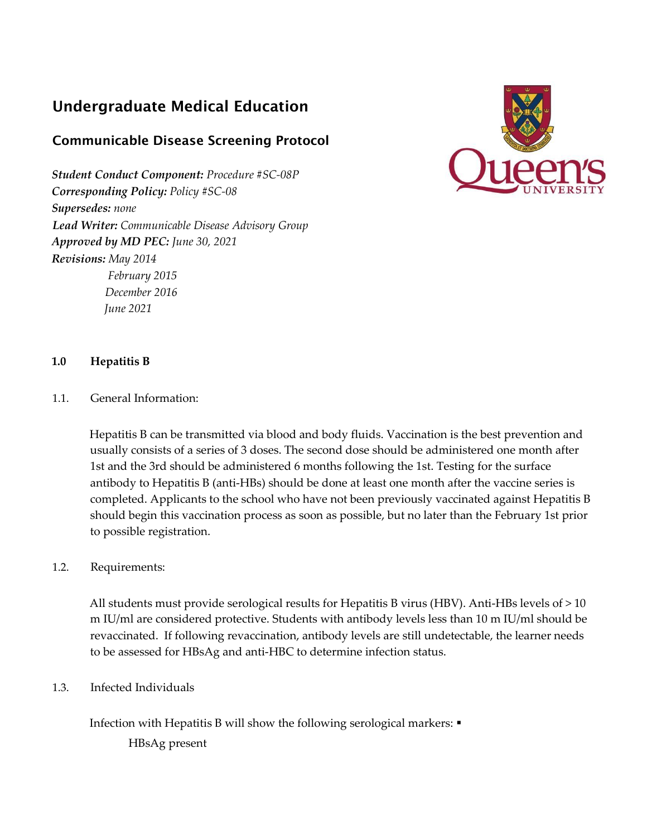# Undergraduate Medical Education

# Communicable Disease Screening Protocol

*Student Conduct Component: Procedure #SC‐08P Corresponding Policy: Policy #SC-08 Supersedes: none Lead Writer: Communicable Disease Advisory Group Approved by MD PEC: June 30, 2021 Revisions: May 2014 February 2015 December 2016 June 2021*



#### **1.0 Hepatitis B**

1.1. General Information:

Hepatitis B can be transmitted via blood and body fluids. Vaccination is the best prevention and usually consists of a series of 3 doses. The second dose should be administered one month after 1st and the 3rd should be administered 6 months following the 1st. Testing for the surface antibody to Hepatitis B (anti‐HBs) should be done at least one month after the vaccine series is completed. Applicants to the school who have not been previously vaccinated against Hepatitis B should begin this vaccination process as soon as possible, but no later than the February 1st prior to possible registration.

#### 1.2. Requirements:

All students must provide serological results for Hepatitis B virus (HBV). Anti-HBs levels of > 10 m IU/ml are considered protective. Students with antibody levels less than 10 m IU/ml should be revaccinated. If following revaccination, antibody levels are still undetectable, the learner needs to be assessed for HBsAg and anti-HBC to determine infection status.

1.3. Infected Individuals

Infection with Hepatitis B will show the following serological markers: ▪

HBsAg present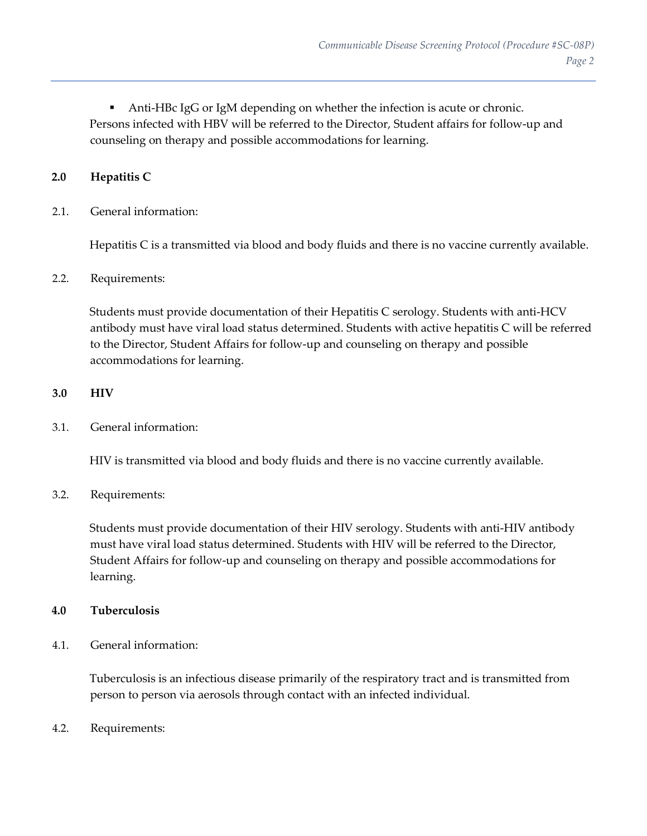Anti-HBc IgG or IgM depending on whether the infection is acute or chronic. Persons infected with HBV will be referred to the Director, Student affairs for follow‐up and counseling on therapy and possible accommodations for learning.

## **2.0 Hepatitis C**

2.1. General information:

Hepatitis C is a transmitted via blood and body fluids and there is no vaccine currently available.

#### 2.2. Requirements:

Students must provide documentation of their Hepatitis C serology. Students with anti‐HCV antibody must have viral load status determined. Students with active hepatitis C will be referred to the Director, Student Affairs for follow‐up and counseling on therapy and possible accommodations for learning.

#### **3.0 HIV**

#### 3.1. General information:

HIV is transmitted via blood and body fluids and there is no vaccine currently available.

#### 3.2. Requirements:

Students must provide documentation of their HIV serology. Students with anti-HIV antibody must have viral load status determined. Students with HIV will be referred to the Director, Student Affairs for follow‐up and counseling on therapy and possible accommodations for learning.

#### **4.0 Tuberculosis**

4.1. General information:

Tuberculosis is an infectious disease primarily of the respiratory tract and is transmitted from person to person via aerosols through contact with an infected individual.

4.2. Requirements: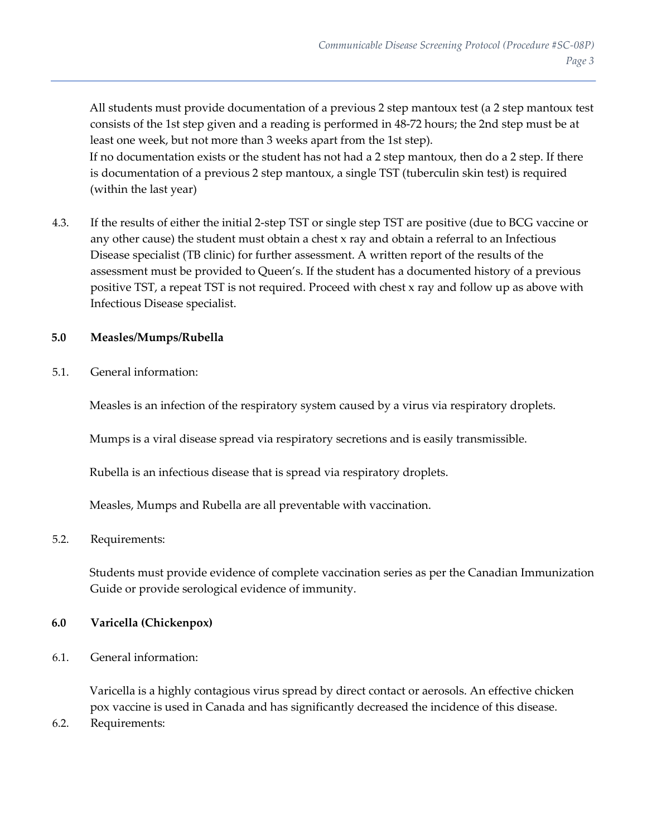All students must provide documentation of a previous 2 step mantoux test (a 2 step mantoux test consists of the 1st step given and a reading is performed in 48‐72 hours; the 2nd step must be at least one week, but not more than 3 weeks apart from the 1st step). If no documentation exists or the student has not had a 2 step mantoux, then do a 2 step. If there is documentation of a previous 2 step mantoux, a single TST (tuberculin skin test) is required (within the last year)

4.3. If the results of either the initial 2‐step TST or single step TST are positive (due to BCG vaccine or any other cause) the student must obtain a chest x ray and obtain a referral to an Infectious Disease specialist (TB clinic) for further assessment. A written report of the results of the assessment must be provided to Queen's. If the student has a documented history of a previous positive TST, a repeat TST is not required. Proceed with chest x ray and follow up as above with Infectious Disease specialist.

#### **5.0 Measles/Mumps/Rubella**

5.1. General information:

Measles is an infection of the respiratory system caused by a virus via respiratory droplets.

Mumps is a viral disease spread via respiratory secretions and is easily transmissible.

Rubella is an infectious disease that is spread via respiratory droplets.

Measles, Mumps and Rubella are all preventable with vaccination.

#### 5.2. Requirements:

Students must provide evidence of complete vaccination series as per the Canadian Immunization Guide or provide serological evidence of immunity.

### **6.0 Varicella (Chickenpox)**

6.1. General information:

Varicella is a highly contagious virus spread by direct contact or aerosols. An effective chicken pox vaccine is used in Canada and has significantly decreased the incidence of this disease.

6.2. Requirements: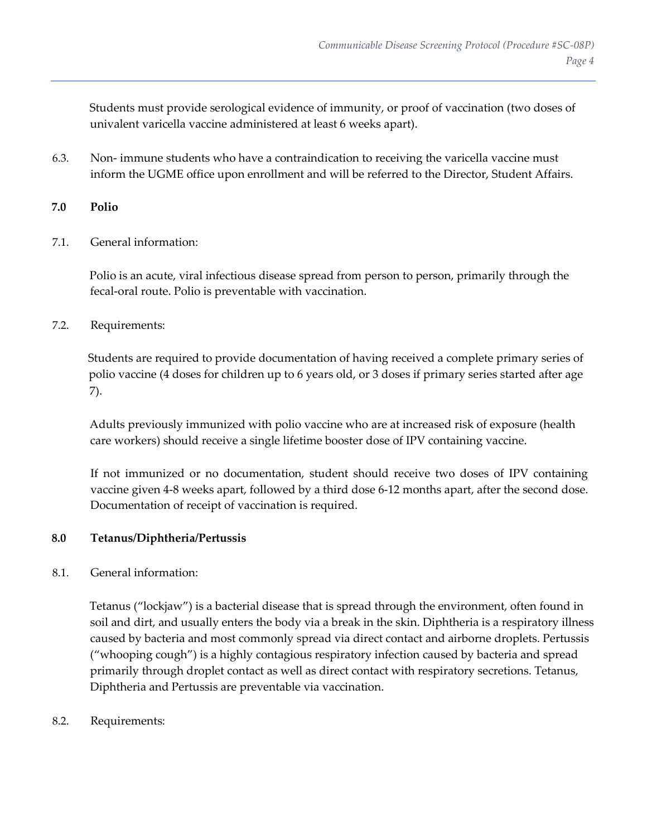Students must provide serological evidence of immunity, or proof of vaccination (two doses of univalent varicella vaccine administered at least 6 weeks apart).

6.3. Non‐ immune students who have a contraindication to receiving the varicella vaccine must inform the UGME office upon enrollment and will be referred to the Director, Student Affairs.

#### **7.0 Polio**

7.1. General information:

Polio is an acute, viral infectious disease spread from person to person, primarily through the fecal-oral route. Polio is preventable with vaccination.

7.2. Requirements:

Students are required to provide documentation of having received a complete primary series of polio vaccine (4 doses for children up to 6 years old, or 3 doses if primary series started after age 7).

Adults previously immunized with polio vaccine who are at increased risk of exposure (health care workers) should receive a single lifetime booster dose of IPV containing vaccine.

If not immunized or no documentation, student should receive two doses of IPV containing vaccine given 4‐8 weeks apart, followed by a third dose 6‐12 months apart, after the second dose. Documentation of receipt of vaccination is required.

#### **8.0 Tetanus/Diphtheria/Pertussis**

8.1. General information:

Tetanus ("lockjaw") is a bacterial disease that is spread through the environment, often found in soil and dirt, and usually enters the body via a break in the skin. Diphtheria is a respiratory illness caused by bacteria and most commonly spread via direct contact and airborne droplets. Pertussis ("whooping cough") is a highly contagious respiratory infection caused by bacteria and spread primarily through droplet contact as well as direct contact with respiratory secretions. Tetanus, Diphtheria and Pertussis are preventable via vaccination.

8.2. Requirements: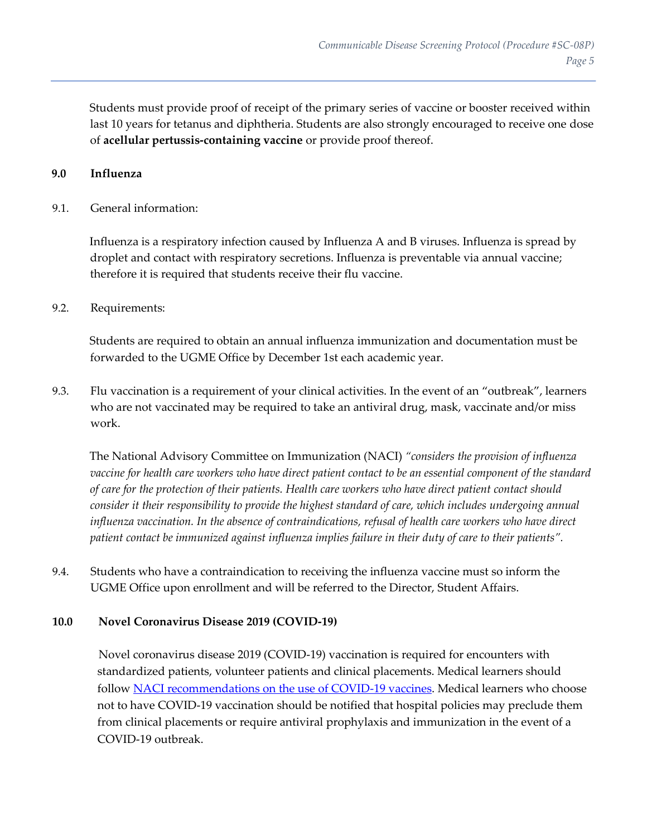Students must provide proof of receipt of the primary series of vaccine or booster received within last 10 years for tetanus and diphtheria. Students are also strongly encouraged to receive one dose of **acellular pertussis‐containing vaccine** or provide proof thereof.

#### **9.0 Influenza**

#### 9.1. General information:

Influenza is a respiratory infection caused by Influenza A and B viruses. Influenza is spread by droplet and contact with respiratory secretions. Influenza is preventable via annual vaccine; therefore it is required that students receive their flu vaccine.

#### 9.2. Requirements:

Students are required to obtain an annual influenza immunization and documentation must be forwarded to the UGME Office by December 1st each academic year.

9.3. Flu vaccination is a requirement of your clinical activities. In the event of an "outbreak", learners who are not vaccinated may be required to take an antiviral drug, mask, vaccinate and/or miss work.

The National Advisory Committee on Immunization (NACI) *"considers the provision of influenza vaccine for health care workers who have direct patient contact to be an essential component of the standard of care for the protection of their patients. Health care workers who have direct patient contact should consider it their responsibility to provide the highest standard of care, which includes undergoing annual influenza vaccination. In the absence of contraindications, refusal of health care workers who have direct patient contact be immunized against influenza implies failure in their duty of care to their patients".*

9.4. Students who have a contraindication to receiving the influenza vaccine must so inform the UGME Office upon enrollment and will be referred to the Director, Student Affairs.

#### **10.0 Novel Coronavirus Disease 2019 (COVID-19)**

Novel coronavirus disease 2019 (COVID-19) vaccination is required for encounters with standardized patients, volunteer patients and clinical placements. Medical learners should follow [NACI recommendations on the use of COVID-19 vaccines.](https://www.canada.ca/en/public-health/services/immunization/national-advisory-committee-on-immunization-naci.html) Medical learners who choose not to have COVID-19 vaccination should be notified that hospital policies may preclude them from clinical placements or require antiviral prophylaxis and immunization in the event of a COVID-19 outbreak.